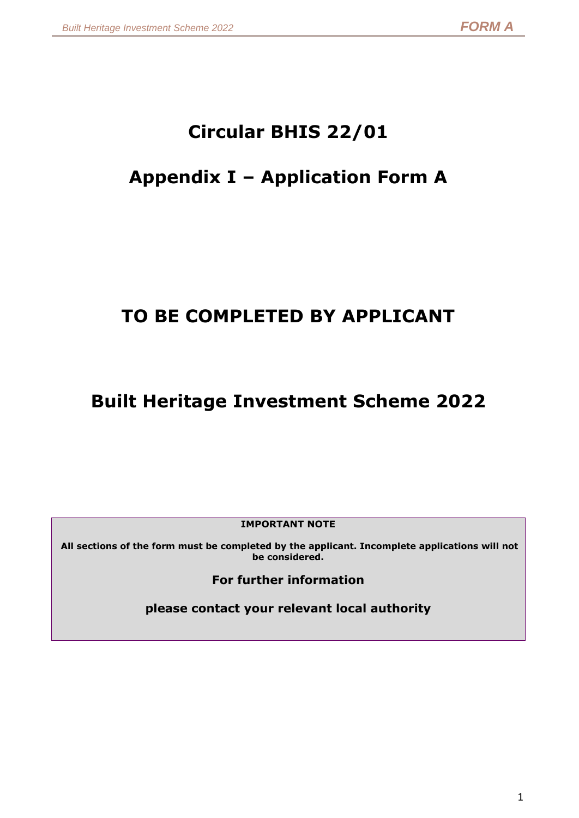# **Circular BHIS 22/01**

# **Appendix I – Application Form A**

# **TO BE COMPLETED BY APPLICANT**

# **Built Heritage Investment Scheme 2022**

**IMPORTANT NOTE**

**All sections of the form must be completed by the applicant. Incomplete applications will not be considered.**

**For further information** 

**please contact your relevant local authority**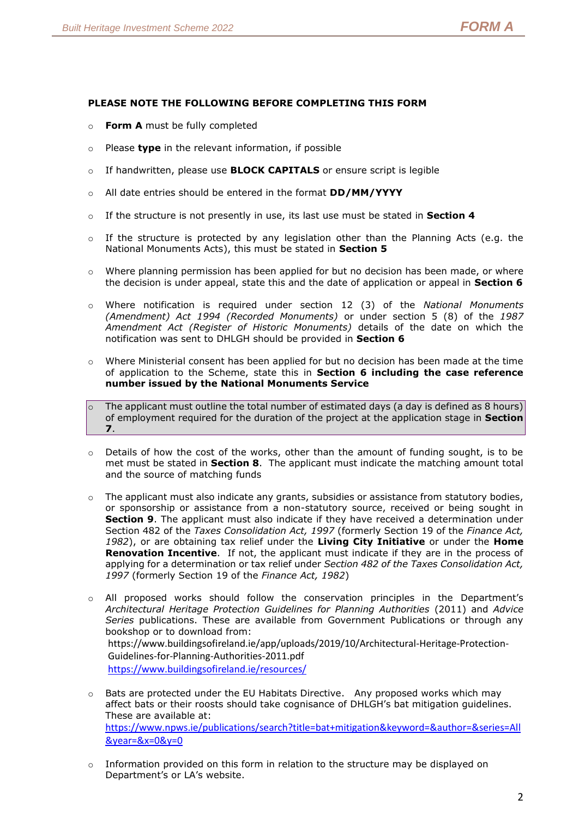#### **PLEASE NOTE THE FOLLOWING BEFORE COMPLETING THIS FORM**

- o **Form A** must be fully completed
- o Please **type** in the relevant information, if possible
- o If handwritten, please use **BLOCK CAPITALS** or ensure script is legible
- o All date entries should be entered in the format **DD/MM/YYYY**
- o If the structure is not presently in use, its last use must be stated in **Section 4**
- $\circ$  If the structure is protected by any legislation other than the Planning Acts (e.g. the National Monuments Acts), this must be stated in **Section 5**
- $\circ$  Where planning permission has been applied for but no decision has been made, or where the decision is under appeal, state this and the date of application or appeal in **Section 6**
- o Where notification is required under section 12 (3) of the *National Monuments (Amendment) Act 1994 (Recorded Monuments)* or under section 5 (8) of the *1987 Amendment Act (Register of Historic Monuments)* details of the date on which the notification was sent to DHLGH should be provided in **Section 6**
- o Where Ministerial consent has been applied for but no decision has been made at the time of application to the Scheme, state this in **Section 6 including the case reference number issued by the National Monuments Service**
- $\circ$  The applicant must outline the total number of estimated days (a day is defined as 8 hours) of employment required for the duration of the project at the application stage in **Section 7**.
- $\circ$  Details of how the cost of the works, other than the amount of funding sought, is to be met must be stated in **Section 8**. The applicant must indicate the matching amount total and the source of matching funds
- $\circ$  The applicant must also indicate any grants, subsidies or assistance from statutory bodies, or sponsorship or assistance from a non-statutory source, received or being sought in **Section 9**. The applicant must also indicate if they have received a determination under Section 482 of the *Taxes Consolidation Act, 1997* (formerly Section 19 of the *Finance Act, 1982*), or are obtaining tax relief under the **Living City Initiative** or under the **Home Renovation Incentive**. If not, the applicant must indicate if they are in the process of applying for a determination or tax relief under *Section 482 of the Taxes Consolidation Act, 1997* (formerly Section 19 of the *Finance Act, 1982*)
- o All proposed works should follow the conservation principles in the Department's *[Architectural Heritage Protection Guidelines for Planning Authorities](http://www.ahg.gov.ie/en/Publications/HeritagePublications/BuiltHeritagePolicyPublications/Architectural%20Heritage%20Protection%20Guidelines%20(2011).pdf)* (2011) and *[Advice](http://www.ahg.gov.ie/en/Publications/HeritagePublications/BuiltHeritagePolicyPublications/)  [Series](http://www.ahg.gov.ie/en/Publications/HeritagePublications/BuiltHeritagePolicyPublications/)* publications. These are available from Government Publications or through any bookshop or to download from: [https://www.buildingsofireland.ie/app/uploads/2019/10/Architectural-Heritage-Protection-](https://www.buildingsofireland.ie/app/uploads/2019/10/Architectural-Heritage-Protection-Guidelines-for-Planning-Authorities-2011.pdf)[Guidelines-for-Planning-Authorities-2011.pdf](https://www.buildingsofireland.ie/app/uploads/2019/10/Architectural-Heritage-Protection-Guidelines-for-Planning-Authorities-2011.pdf) <https://www.buildingsofireland.ie/resources/>
- $\circ$  Bats are protected under the EU Habitats Directive. Any proposed works which may affect bats or their roosts should take cognisance of DHLGH's bat mitigation guidelines. These are available at: [https://www.npws.ie/publications/search?title=bat+mitigation&keyword=&author=&series=All](https://www.npws.ie/publications/search?title=bat+mitigation&keyword=&author=&series=All&year=&x=0&y=0) [&year=&x=0&y=0](https://www.npws.ie/publications/search?title=bat+mitigation&keyword=&author=&series=All&year=&x=0&y=0)
- o Information provided on this form in relation to the structure may be displayed on Department's or LA's website.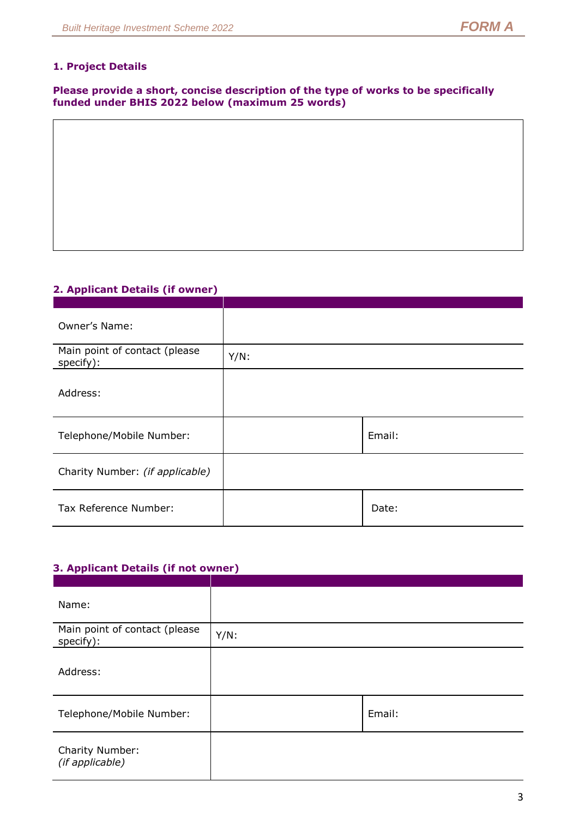## **1. Project Details**

**Please provide a short, concise description of the type of works to be specifically funded under BHIS 2022 below (maximum 25 words)**

## **2. Applicant Details (if owner)**

| Owner's Name:                              |         |        |
|--------------------------------------------|---------|--------|
| Main point of contact (please<br>specify): | $Y/N$ : |        |
| Address:                                   |         |        |
| Telephone/Mobile Number:                   |         | Email: |
| Charity Number: (if applicable)            |         |        |
| Tax Reference Number:                      |         | Date:  |

## **3. Applicant Details (if not owner)**

| Name:                                      |         |        |
|--------------------------------------------|---------|--------|
| Main point of contact (please<br>specify): | $Y/N$ : |        |
| Address:                                   |         |        |
| Telephone/Mobile Number:                   |         | Email: |
| Charity Number:<br>(if applicable)         |         |        |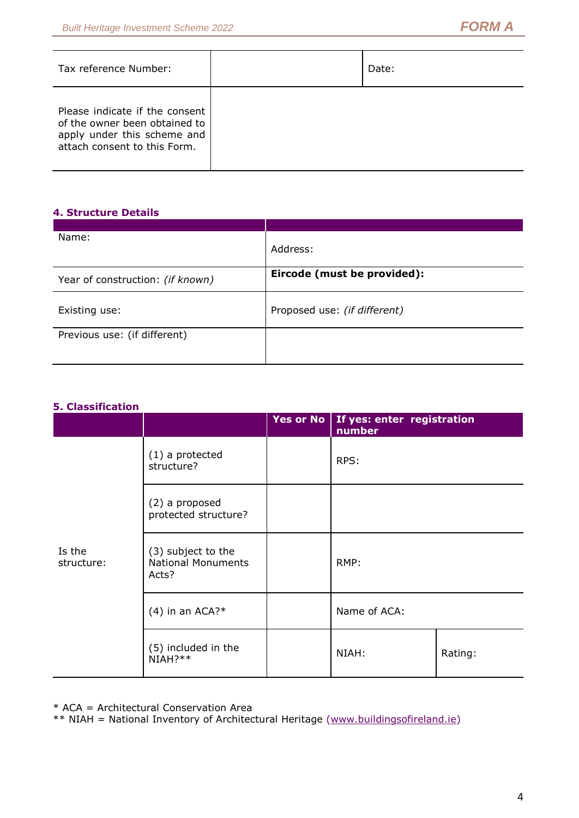| Tax reference Number:                                                                                                          | Date: |
|--------------------------------------------------------------------------------------------------------------------------------|-------|
| Please indicate if the consent<br>of the owner been obtained to<br>apply under this scheme and<br>attach consent to this Form. |       |

## **4. Structure Details**

| Name:                            | Address:                     |
|----------------------------------|------------------------------|
| Year of construction: (if known) | Eircode (must be provided):  |
| Existing use:                    | Proposed use: (if different) |
| Previous use: (if different)     |                              |

## **5. Classification**

|                      |                                                          | Yes or No | If yes: enter registration<br>number |         |
|----------------------|----------------------------------------------------------|-----------|--------------------------------------|---------|
|                      | $(1)$ a protected<br>structure?                          |           | RPS:                                 |         |
|                      | (2) a proposed<br>protected structure?                   |           |                                      |         |
| Is the<br>structure: | (3) subject to the<br><b>National Monuments</b><br>Acts? |           | RMP:                                 |         |
|                      | $(4)$ in an ACA?*                                        |           | Name of ACA:                         |         |
|                      | (5) included in the<br>NIAH?**                           |           | NIAH:                                | Rating: |

\* ACA = Architectural Conservation Area

\*\* NIAH = National Inventory of Architectural Heritage [\(www.buildingsofireland.ie\)](http://www.buildingsofireland.ie/)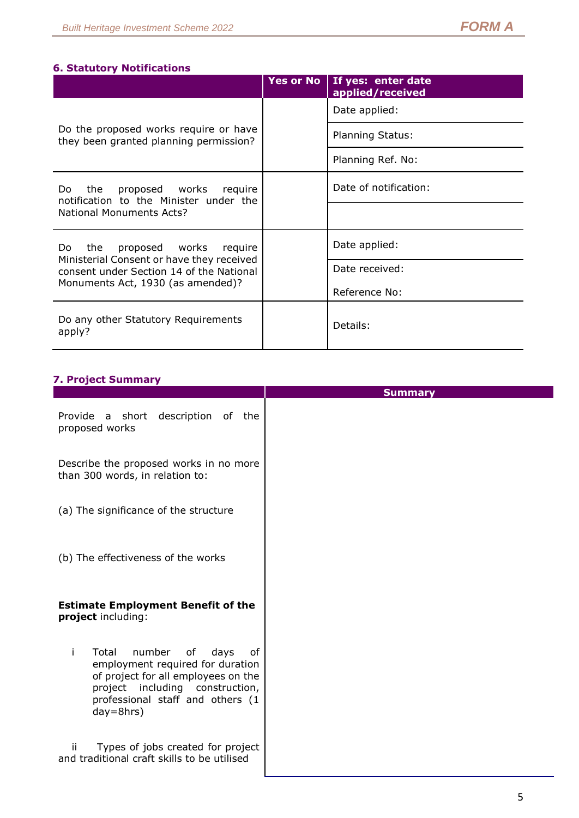## **6. Statutory Notifications**

|                                                                                       | <b>Yes or No</b> | If yes: enter date<br>applied/received |
|---------------------------------------------------------------------------------------|------------------|----------------------------------------|
|                                                                                       |                  | Date applied:                          |
| Do the proposed works require or have<br>they been granted planning permission?       |                  | <b>Planning Status:</b>                |
|                                                                                       |                  | Planning Ref. No:                      |
| the<br>proposed works<br>require<br>Do.<br>notification to the Minister under the     |                  | Date of notification:                  |
| National Monuments Acts?                                                              |                  |                                        |
| proposed works<br>the<br>require<br>Do                                                |                  | Date applied:                          |
| Ministerial Consent or have they received<br>consent under Section 14 of the National |                  | Date received:                         |
| Monuments Act, 1930 (as amended)?                                                     |                  | Reference No:                          |
| Do any other Statutory Requirements<br>apply?                                         |                  | Details:                               |

## **7. Project Summary**

|                                                                                                                                                                                                           | <b>Summary</b> |
|-----------------------------------------------------------------------------------------------------------------------------------------------------------------------------------------------------------|----------------|
| Provide a short description of the<br>proposed works                                                                                                                                                      |                |
| Describe the proposed works in no more<br>than 300 words, in relation to:                                                                                                                                 |                |
| (a) The significance of the structure                                                                                                                                                                     |                |
| (b) The effectiveness of the works                                                                                                                                                                        |                |
| <b>Estimate Employment Benefit of the</b><br>project including:                                                                                                                                           |                |
| Total<br>number of<br>days<br>Ť<br>οf<br>employment required for duration<br>of project for all employees on the<br>project including construction,<br>professional staff and others (1<br>$day = 8$ hrs) |                |
| Types of jobs created for project<br>ii.<br>and traditional craft skills to be utilised                                                                                                                   |                |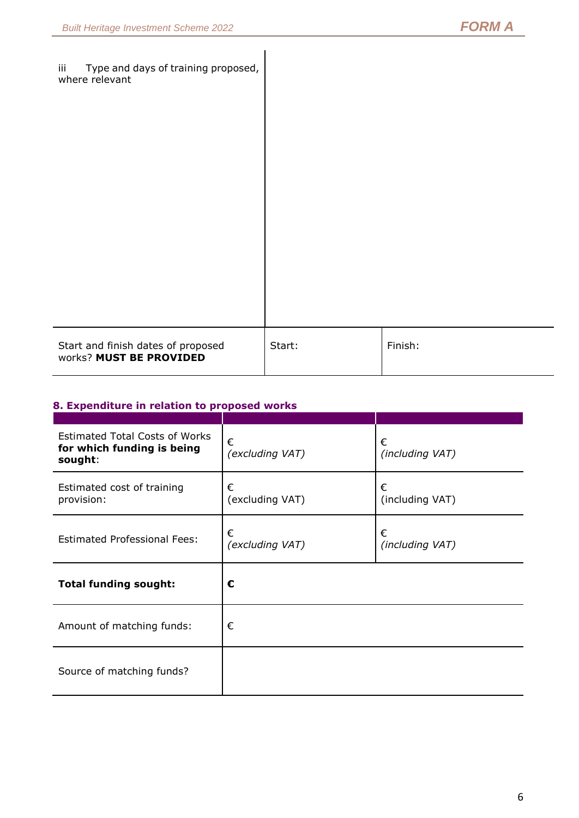| Type and days of training proposed,<br>iii<br>where relevant  |        |         |
|---------------------------------------------------------------|--------|---------|
| Start and finish dates of proposed<br>works? MUST BE PROVIDED | Start: | Finish: |

## **8. Expenditure in relation to proposed works**

| <b>Estimated Total Costs of Works</b><br>for which funding is being<br>sought: | €<br>(excluding VAT) | €<br>(including VAT) |
|--------------------------------------------------------------------------------|----------------------|----------------------|
| Estimated cost of training<br>provision:                                       | €<br>(excluding VAT) | €<br>(including VAT) |
| <b>Estimated Professional Fees:</b>                                            | €<br>(excluding VAT) | €<br>(including VAT) |
| <b>Total funding sought:</b>                                                   | €                    |                      |
| Amount of matching funds:                                                      | €                    |                      |
| Source of matching funds?                                                      |                      |                      |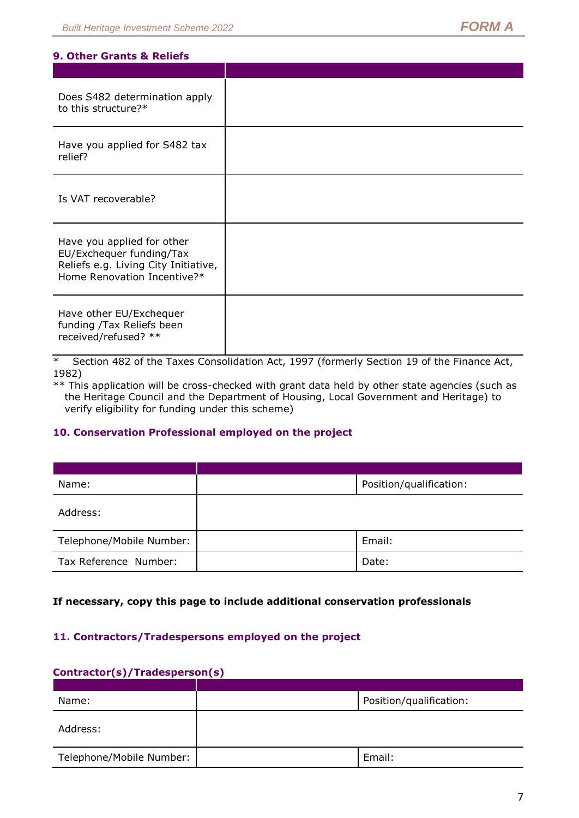#### **9. Other Grants & Reliefs**

| Does S482 determination apply<br>to this structure?*                                                                          |  |
|-------------------------------------------------------------------------------------------------------------------------------|--|
| Have you applied for S482 tax<br>relief?                                                                                      |  |
| Is VAT recoverable?                                                                                                           |  |
| Have you applied for other<br>EU/Exchequer funding/Tax<br>Reliefs e.g. Living City Initiative,<br>Home Renovation Incentive?* |  |
| Have other EU/Exchequer<br>funding /Tax Reliefs been<br>received/refused? **                                                  |  |

\* Section 482 of the Taxes Consolidation Act, 1997 (formerly Section 19 of the Finance Act, 1982)

\*\* This application will be cross-checked with grant data held by other state agencies (such as the Heritage Council and the Department of Housing, Local Government and Heritage) to verify eligibility for funding under this scheme)

## **10. Conservation Professional employed on the project**

| Name:                    | Position/qualification: |
|--------------------------|-------------------------|
| Address:                 |                         |
| Telephone/Mobile Number: | Email:                  |
| Tax Reference Number:    | Date:                   |

## **If necessary, copy this page to include additional conservation professionals**

## **11. Contractors/Tradespersons employed on the project**

#### **Contractor(s)/Tradesperson(s)**

| Name:                    | Position/qualification: |
|--------------------------|-------------------------|
| Address:                 |                         |
| Telephone/Mobile Number: | Email:                  |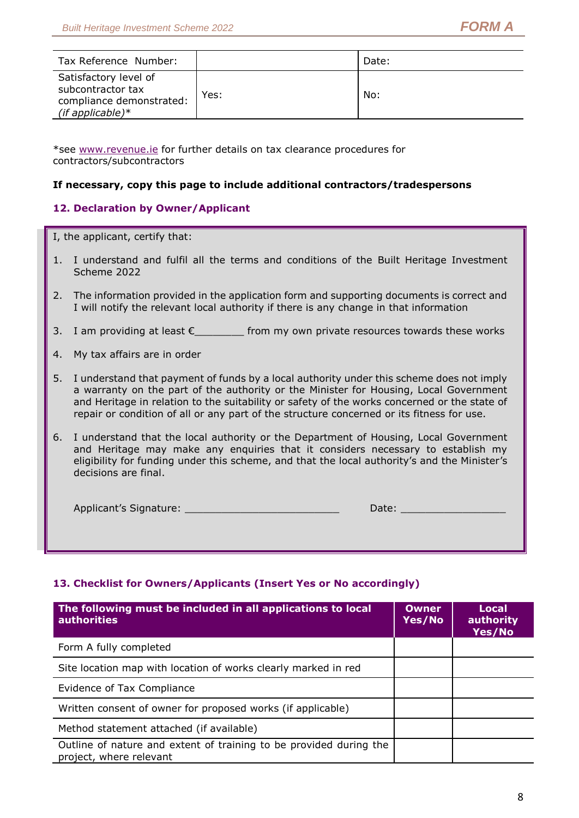| Tax Reference Number:                                                                         |      | Date: |
|-----------------------------------------------------------------------------------------------|------|-------|
| Satisfactory level of<br>subcontractor tax<br>compliance demonstrated:<br>(if applicable) $*$ | Yes: | No:   |

\*see [www.revenue.ie](http://www.revenue.ie/) for further details on tax clearance procedures for contractors/subcontractors

### **If necessary, copy this page to include additional contractors/tradespersons**

## **12. Declaration by Owner/Applicant**

I, the applicant, certify that:

- 1. I understand and fulfil all the terms and conditions of the Built Heritage Investment Scheme 2022
- 2. The information provided in the application form and supporting documents is correct and I will notify the relevant local authority if there is any change in that information
- 3. I am providing at least  $\epsilon$  from my own private resources towards these works
- 4. My tax affairs are in order
- 5. I understand that payment of funds by a local authority under this scheme does not imply a warranty on the part of the authority or the Minister for Housing, Local Government and Heritage in relation to the suitability or safety of the works concerned or the state of repair or condition of all or any part of the structure concerned or its fitness for use.
- 6. I understand that the local authority or the Department of Housing, Local Government and Heritage may make any enquiries that it considers necessary to establish my eligibility for funding under this scheme, and that the local authority's and the Minister's decisions are final.

| Applicant's Signature: | Date: |
|------------------------|-------|
|                        |       |

## **13. Checklist for Owners/Applicants (Insert Yes or No accordingly)**

| The following must be included in all applications to local<br><b>authorities</b>             | Owner<br>Yes/No | Local<br>authority<br>Yes/No |
|-----------------------------------------------------------------------------------------------|-----------------|------------------------------|
| Form A fully completed                                                                        |                 |                              |
| Site location map with location of works clearly marked in red                                |                 |                              |
| Evidence of Tax Compliance                                                                    |                 |                              |
| Written consent of owner for proposed works (if applicable)                                   |                 |                              |
| Method statement attached (if available)                                                      |                 |                              |
| Outline of nature and extent of training to be provided during the<br>project, where relevant |                 |                              |